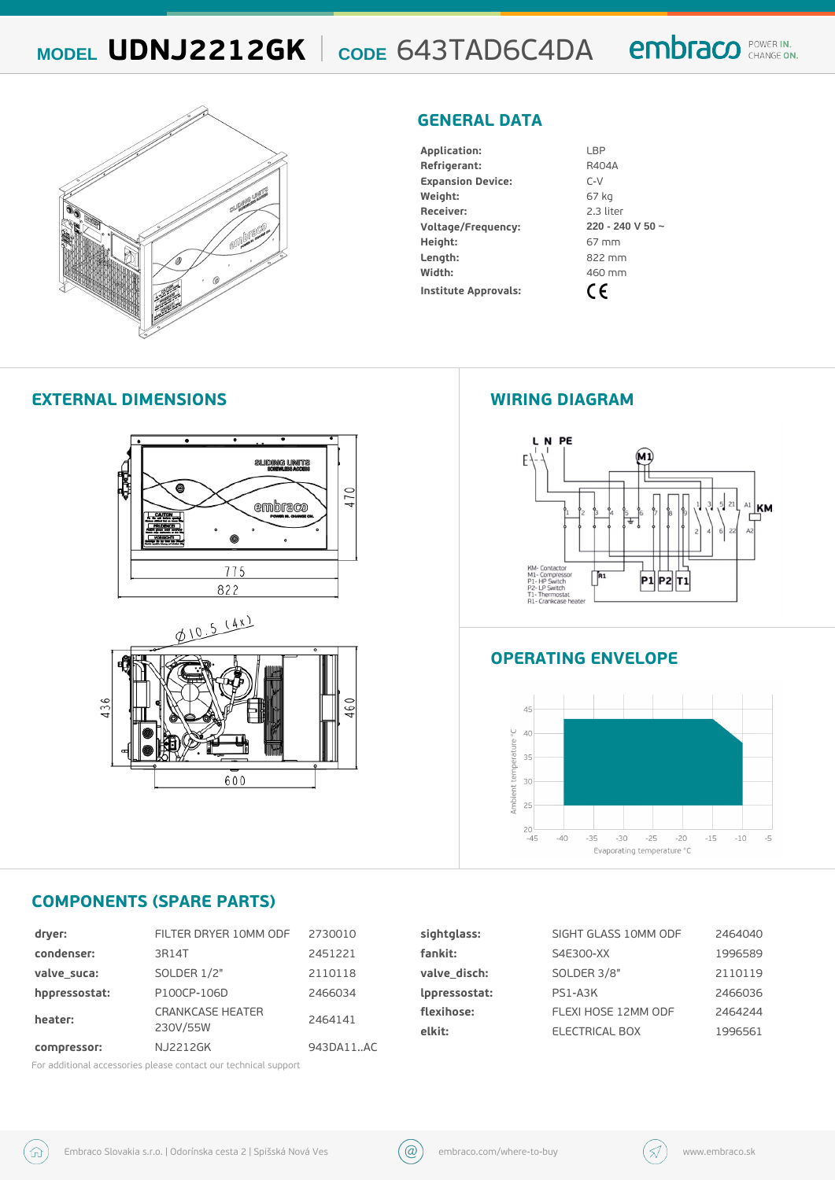## MODEL UDNJ2212 $G$ dKE 643TAD6C4DA

#### GENERAL DATA

| Application:         | LBP              |  |  |  |
|----------------------|------------------|--|--|--|
| Refrigerant:         | R404A            |  |  |  |
| Expansion Device:    | $C - V$          |  |  |  |
| Weight:              | 67 kg            |  |  |  |
| Receiver:            | 2.3 liter        |  |  |  |
| Voltage/Frequency:   | 220 - 240 V 50 ~ |  |  |  |
| $He$ ight:           | 67 m m           |  |  |  |
| $L$ ength:           | 822 mm           |  |  |  |
| Width:               | 460 mm           |  |  |  |
| Institute Approvals: |                  |  |  |  |

#### EXTERNAL DIMENSIONS WIRING DIAGRAM

#### OPERATING ENVELOPE

#### COMPONENTS (SPARE PARTS)

| dryer:                    | FILTER DRYER 10 M2M 300 F0                    |           | sightglass:   | SIGHT GLASS 10MM2@D#040   |         |
|---------------------------|-----------------------------------------------|-----------|---------------|---------------------------|---------|
| condenser:                | 3 R 1 4 T                                     | 2451221   | fankit:       | $S4E300-XX$               | 1996589 |
| valve suca:               | SOLDER 1/2"                                   | 2110118   | valve disch:  | SOLDER 3/8"               | 2110119 |
| hppressostat: P100CP-106D |                                               | 2466034   | Ippressostat: | $PS1 - A3K$               | 2466036 |
| heater:                   | CRANKCASE HEAT <sub>5464141</sub><br>230V/55W |           | flexihose:    | FLEXI HOSE 12MM Q20464244 |         |
|                           |                                               |           | elkit:        | ELECTRICAL BOX            | 1996561 |
| compressor:               | N J 2 2 1 2 G K                               | 943DA11AC |               |                           |         |

For additional accessories please contact our technical support